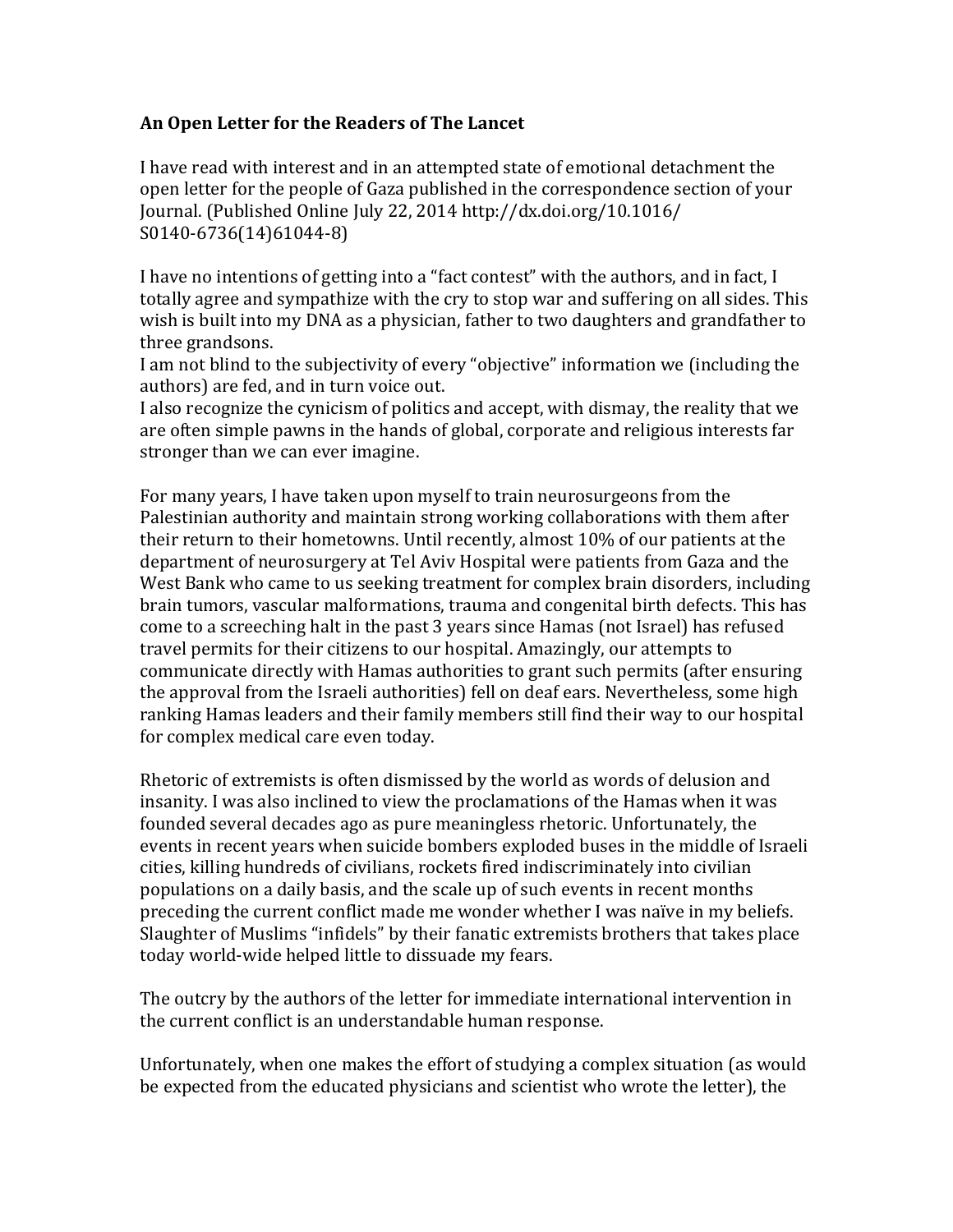## **An Open Letter for the Readers of The Lancet**

I have read with interest and in an attempted state of emotional detachment the open letter for the people of Gaza published in the correspondence section of your Journal. (Published Online July 22, 2014 http://dx.doi.org/10.1016/ S0140-6736(14)61044-8)

I have no intentions of getting into a "fact contest" with the authors, and in fact, I totally agree and sympathize with the cry to stop war and suffering on all sides. This wish is built into my DNA as a physician, father to two daughters and grandfather to three grandsons.

I am not blind to the subjectivity of every "objective" information we (including the authors) are fed, and in turn voice out.

I also recognize the cynicism of politics and accept, with dismay, the reality that we are often simple pawns in the hands of global, corporate and religious interests far stronger than we can ever imagine.

For many years, I have taken upon myself to train neurosurgeons from the Palestinian authority and maintain strong working collaborations with them after their return to their hometowns. Until recently, almost 10% of our patients at the department of neurosurgery at Tel Aviv Hospital were patients from Gaza and the West Bank who came to us seeking treatment for complex brain disorders, including brain tumors, vascular malformations, trauma and congenital birth defects. This has come to a screeching halt in the past 3 years since Hamas (not Israel) has refused travel permits for their citizens to our hospital. Amazingly, our attempts to communicate directly with Hamas authorities to grant such permits (after ensuring the approval from the Israeli authorities) fell on deaf ears. Nevertheless, some high ranking Hamas leaders and their family members still find their way to our hospital for complex medical care even today.

Rhetoric of extremists is often dismissed by the world as words of delusion and insanity. I was also inclined to view the proclamations of the Hamas when it was founded several decades ago as pure meaningless rhetoric. Unfortunately, the events in recent years when suicide bombers exploded buses in the middle of Israeli cities, killing hundreds of civilians, rockets fired indiscriminately into civilian populations on a daily basis, and the scale up of such events in recent months preceding the current conflict made me wonder whether I was naïve in my beliefs. Slaughter of Muslims "infidels" by their fanatic extremists brothers that takes place today world-wide helped little to dissuade my fears.

The outcry by the authors of the letter for immediate international intervention in the current conflict is an understandable human response.

Unfortunately, when one makes the effort of studying a complex situation (as would be expected from the educated physicians and scientist who wrote the letter), the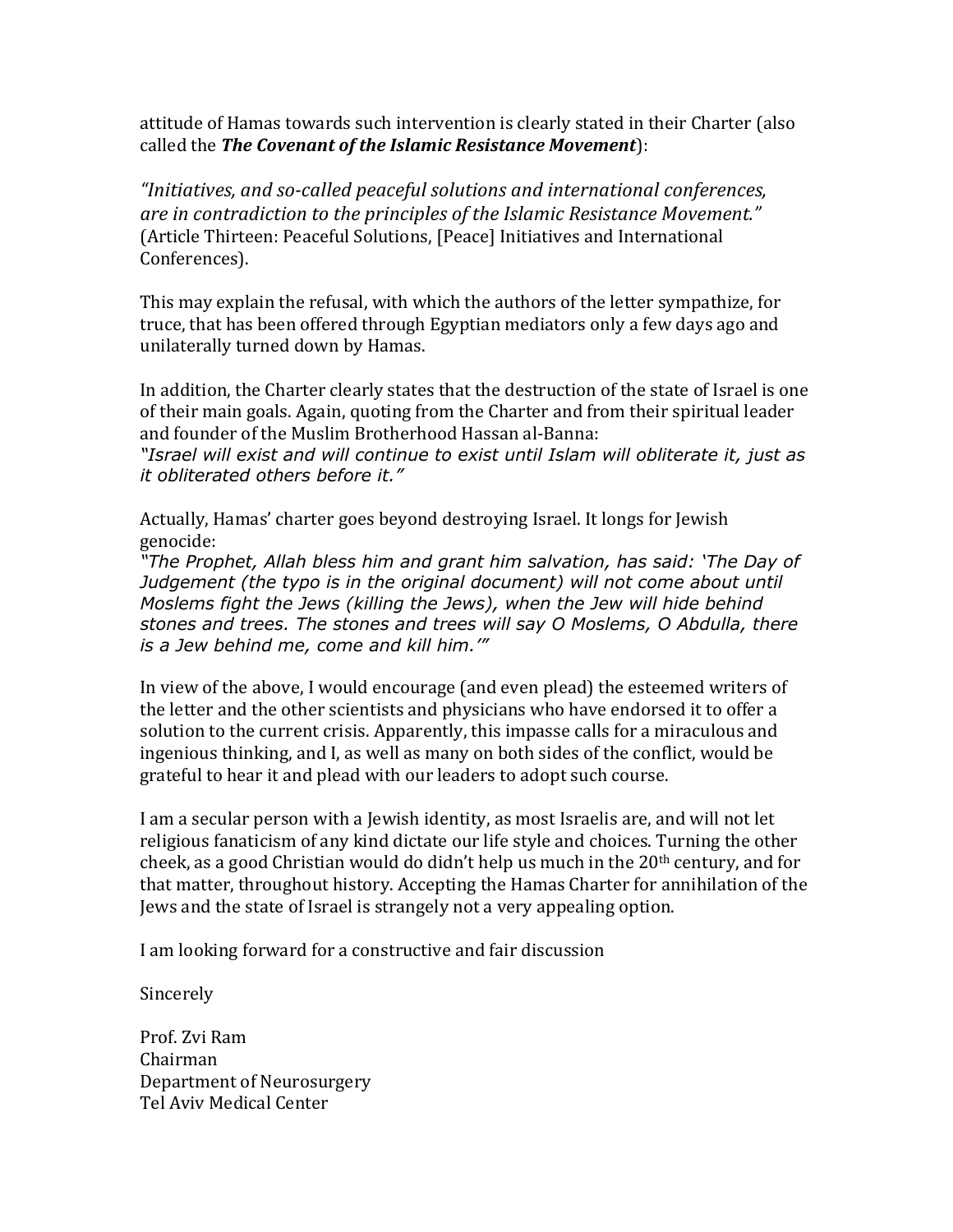attitude of Hamas towards such intervention is clearly stated in their Charter (also called the *The Covenant of the Islamic Resistance Movement*):

*"Initiatives, and so-called peaceful solutions and international conferences, are in contradiction to the principles of the Islamic Resistance Movement."* (Article Thirteen: Peaceful Solutions, [Peace] Initiatives and International Conferences).

This may explain the refusal, with which the authors of the letter sympathize, for truce, that has been offered through Egyptian mediators only a few days ago and unilaterally turned down by Hamas.

In addition, the Charter clearly states that the destruction of the state of Israel is one of their main goals. Again, quoting from the Charter and from their spiritual leader and founder of the Muslim Brotherhood Hassan al-Banna:

*"Israel will exist and will continue to exist until Islam will obliterate it, just as it obliterated others before it."*

Actually, Hamas' charter goes beyond destroying Israel. It longs for Jewish genocide:

*"The Prophet, Allah bless him and grant him salvation, has said: 'The Day of* Judgement (the typo is in the original document) will not come about until *Moslems fight the Jews (killing the Jews), when the Jew will hide behind stones and trees. The stones and trees will say O Moslems, O Abdulla, there is a Jew behind me, come and kill him.'"*

In view of the above, I would encourage (and even plead) the esteemed writers of the letter and the other scientists and physicians who have endorsed it to offer a solution to the current crisis. Apparently, this impasse calls for a miraculous and ingenious thinking, and I, as well as many on both sides of the conflict, would be grateful to hear it and plead with our leaders to adopt such course.

I am a secular person with a Jewish identity, as most Israelis are, and will not let religious fanaticism of any kind dictate our life style and choices. Turning the other cheek, as a good Christian would do didn't help us much in the 20th century, and for that matter, throughout history. Accepting the Hamas Charter for annihilation of the Jews and the state of Israel is strangely not a very appealing option.

I am looking forward for a constructive and fair discussion

Sincerely

Prof. Zvi Ram Chairman Department of Neurosurgery Tel Aviv Medical Center